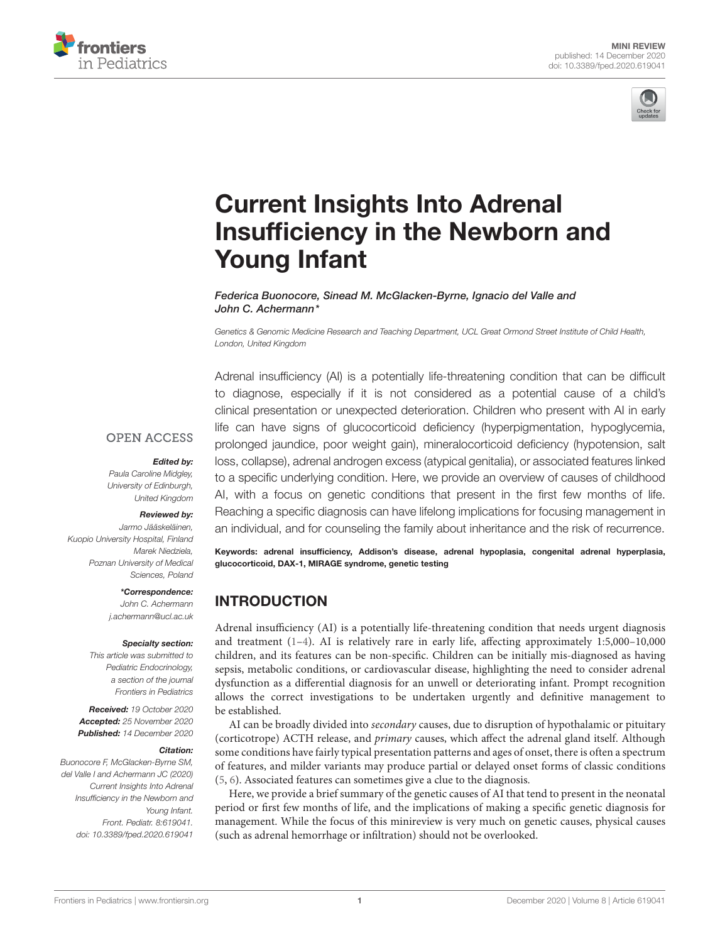



# Current Insights Into Adrenal [Insufficiency in the Newborn and](https://www.frontiersin.org/articles/10.3389/fped.2020.619041/full) Young Infant

Federica Buonocore, Sinead M. McGlacken-Byrne, Ignacio del Valle and John C. Achermann\*

Genetics & Genomic Medicine Research and Teaching Department, UCL Great Ormond Street Institute of Child Health, London, United Kingdom

Adrenal insufficiency (AI) is a potentially life-threatening condition that can be difficult to diagnose, especially if it is not considered as a potential cause of a child's clinical presentation or unexpected deterioration. Children who present with AI in early life can have signs of glucocorticoid deficiency (hyperpigmentation, hypoglycemia, prolonged jaundice, poor weight gain), mineralocorticoid deficiency (hypotension, salt loss, collapse), adrenal androgen excess (atypical genitalia), or associated features linked to a specific underlying condition. Here, we provide an overview of causes of childhood AI, with a focus on genetic conditions that present in the first few months of life. Reaching a specific diagnosis can have lifelong implications for focusing management in an individual, and for counseling the family about inheritance and the risk of recurrence.

Keywords: adrenal insufficiency, Addison's disease, adrenal hypoplasia, congenital adrenal hyperplasia, glucocorticoid, DAX-1, MIRAGE syndrome, genetic testing

# INTRODUCTION

Adrenal insufficiency (AI) is a potentially life-threatening condition that needs urgent diagnosis and treatment [\(1](#page-7-0)[–4\)](#page-7-1). AI is relatively rare in early life, affecting approximately 1:5,000–10,000 children, and its features can be non-specific. Children can be initially mis-diagnosed as having sepsis, metabolic conditions, or cardiovascular disease, highlighting the need to consider adrenal dysfunction as a differential diagnosis for an unwell or deteriorating infant. Prompt recognition allows the correct investigations to be undertaken urgently and definitive management to be established.

AI can be broadly divided into secondary causes, due to disruption of hypothalamic or pituitary (corticotrope) ACTH release, and primary causes, which affect the adrenal gland itself. Although some conditions have fairly typical presentation patterns and ages of onset, there is often a spectrum of features, and milder variants may produce partial or delayed onset forms of classic conditions [\(5,](#page-7-2) [6\)](#page-7-3). Associated features can sometimes give a clue to the diagnosis.

Here, we provide a brief summary of the genetic causes of AI that tend to present in the neonatal period or first few months of life, and the implications of making a specific genetic diagnosis for management. While the focus of this minireview is very much on genetic causes, physical causes (such as adrenal hemorrhage or infiltration) should not be overlooked.

#### **OPEN ACCESS**

#### Edited by:

Paula Caroline Midgley, University of Edinburgh, United Kingdom

#### Reviewed by:

Jarmo Jääskeläinen, Kuopio University Hospital, Finland Marek Niedziela, Poznan University of Medical Sciences, Poland

> \*Correspondence: John C. Achermann [j.achermann@ucl.ac.uk](mailto:j.achermann@ucl.ac.uk)

#### Specialty section:

This article was submitted to Pediatric Endocrinology, a section of the journal Frontiers in Pediatrics

Received: 19 October 2020 Accepted: 25 November 2020 Published: 14 December 2020

#### Citation:

Buonocore F, McGlacken-Byrne SM, del Valle I and Achermann JC (2020) Current Insights Into Adrenal Insufficiency in the Newborn and Young Infant. Front. Pediatr. 8:619041. doi: [10.3389/fped.2020.619041](https://doi.org/10.3389/fped.2020.619041)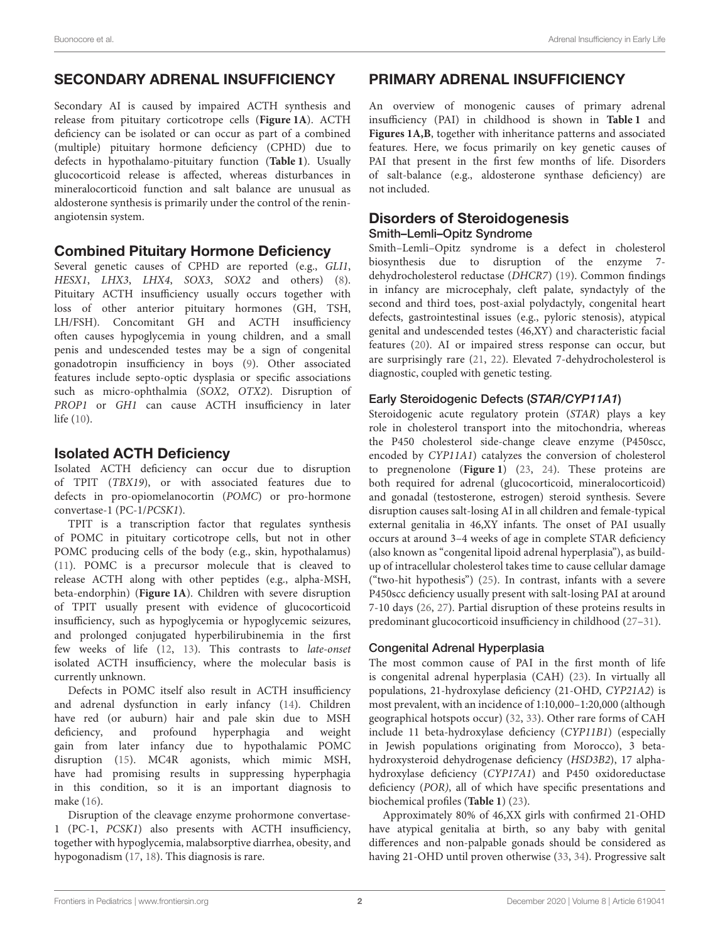# SECONDARY ADRENAL INSUFFICIENCY

Secondary AI is caused by impaired ACTH synthesis and release from pituitary corticotrope cells (**[Figure 1A](#page-2-0)**). ACTH deficiency can be isolated or can occur as part of a combined (multiple) pituitary hormone deficiency (CPHD) due to defects in hypothalamo-pituitary function (**[Table 1](#page-3-0)**). Usually glucocorticoid release is affected, whereas disturbances in mineralocorticoid function and salt balance are unusual as aldosterone synthesis is primarily under the control of the reninangiotensin system.

## Combined Pituitary Hormone Deficiency

Several genetic causes of CPHD are reported (e.g., GLI1, HESX1, LHX3, LHX4, SOX3, SOX2 and others) [\(8\)](#page-7-4). Pituitary ACTH insufficiency usually occurs together with loss of other anterior pituitary hormones (GH, TSH, LH/FSH). Concomitant GH and ACTH insufficiency often causes hypoglycemia in young children, and a small penis and undescended testes may be a sign of congenital gonadotropin insufficiency in boys [\(9\)](#page-7-5). Other associated features include septo-optic dysplasia or specific associations such as micro-ophthalmia (SOX2, OTX2). Disruption of PROP1 or GH1 can cause ACTH insufficiency in later life [\(10\)](#page-7-6).

# Isolated ACTH Deficiency

Isolated ACTH deficiency can occur due to disruption of TPIT (TBX19), or with associated features due to defects in pro-opiomelanocortin (POMC) or pro-hormone convertase-1 (PC-1/PCSK1).

TPIT is a transcription factor that regulates synthesis of POMC in pituitary corticotrope cells, but not in other POMC producing cells of the body (e.g., skin, hypothalamus) [\(11\)](#page-7-7). POMC is a precursor molecule that is cleaved to release ACTH along with other peptides (e.g., alpha-MSH, beta-endorphin) (**[Figure 1A](#page-2-0)**). Children with severe disruption of TPIT usually present with evidence of glucocorticoid insufficiency, such as hypoglycemia or hypoglycemic seizures, and prolonged conjugated hyperbilirubinemia in the first few weeks of life [\(12,](#page-7-8) [13\)](#page-7-9). This contrasts to late-onset isolated ACTH insufficiency, where the molecular basis is currently unknown.

Defects in POMC itself also result in ACTH insufficiency and adrenal dysfunction in early infancy [\(14\)](#page-7-10). Children have red (or auburn) hair and pale skin due to MSH deficiency, and profound hyperphagia and weight gain from later infancy due to hypothalamic POMC disruption [\(15\)](#page-7-11). MC4R agonists, which mimic MSH, have had promising results in suppressing hyperphagia in this condition, so it is an important diagnosis to make [\(16\)](#page-7-12).

Disruption of the cleavage enzyme prohormone convertase-1 (PC-1, PCSK1) also presents with ACTH insufficiency, together with hypoglycemia, malabsorptive diarrhea, obesity, and hypogonadism [\(17,](#page-7-13) [18\)](#page-7-14). This diagnosis is rare.

# PRIMARY ADRENAL INSUFFICIENCY

An overview of monogenic causes of primary adrenal insufficiency (PAI) in childhood is shown in **[Table 1](#page-3-0)** and **[Figures 1A,B](#page-2-0)**, together with inheritance patterns and associated features. Here, we focus primarily on key genetic causes of PAI that present in the first few months of life. Disorders of salt-balance (e.g., aldosterone synthase deficiency) are not included.

## Disorders of Steroidogenesis Smith–Lemli–Opitz Syndrome

Smith–Lemli–Opitz syndrome is a defect in cholesterol biosynthesis due to disruption of the enzyme 7 dehydrocholesterol reductase (DHCR7) [\(19\)](#page-7-15). Common findings in infancy are microcephaly, cleft palate, syndactyly of the second and third toes, post-axial polydactyly, congenital heart defects, gastrointestinal issues (e.g., pyloric stenosis), atypical genital and undescended testes (46,XY) and characteristic facial features [\(20\)](#page-7-16). AI or impaired stress response can occur, but are surprisingly rare [\(21,](#page-7-17) [22\)](#page-7-18). Elevated 7-dehydrocholesterol is diagnostic, coupled with genetic testing.

## Early Steroidogenic Defects (STAR/CYP11A1)

Steroidogenic acute regulatory protein (STAR) plays a key role in cholesterol transport into the mitochondria, whereas the P450 cholesterol side-change cleave enzyme (P450scc, encoded by CYP11A1) catalyzes the conversion of cholesterol to pregnenolone (**[Figure 1](#page-2-0)**) [\(23,](#page-7-19) [24\)](#page-7-20). These proteins are both required for adrenal (glucocorticoid, mineralocorticoid) and gonadal (testosterone, estrogen) steroid synthesis. Severe disruption causes salt-losing AI in all children and female-typical external genitalia in 46,XY infants. The onset of PAI usually occurs at around 3–4 weeks of age in complete STAR deficiency (also known as "congenital lipoid adrenal hyperplasia"), as buildup of intracellular cholesterol takes time to cause cellular damage ("two-hit hypothesis") [\(25\)](#page-7-21). In contrast, infants with a severe P450scc deficiency usually present with salt-losing PAI at around 7-10 days [\(26,](#page-7-22) [27\)](#page-8-0). Partial disruption of these proteins results in predominant glucocorticoid insufficiency in childhood [\(27](#page-8-0)[–31\)](#page-8-1).

#### Congenital Adrenal Hyperplasia

The most common cause of PAI in the first month of life is congenital adrenal hyperplasia (CAH) [\(23\)](#page-7-19). In virtually all populations, 21-hydroxylase deficiency (21-OHD, CYP21A2) is most prevalent, with an incidence of 1:10,000–1:20,000 (although geographical hotspots occur) [\(32,](#page-8-2) [33\)](#page-8-3). Other rare forms of CAH include 11 beta-hydroxylase deficiency (CYP11B1) (especially in Jewish populations originating from Morocco), 3 betahydroxysteroid dehydrogenase deficiency (HSD3B2), 17 alphahydroxylase deficiency (CYP17A1) and P450 oxidoreductase deficiency (POR), all of which have specific presentations and biochemical profiles (**[Table 1](#page-3-0)**) [\(23\)](#page-7-19).

Approximately 80% of 46,XX girls with confirmed 21-OHD have atypical genitalia at birth, so any baby with genital differences and non-palpable gonads should be considered as having 21-OHD until proven otherwise [\(33,](#page-8-3) [34\)](#page-8-4). Progressive salt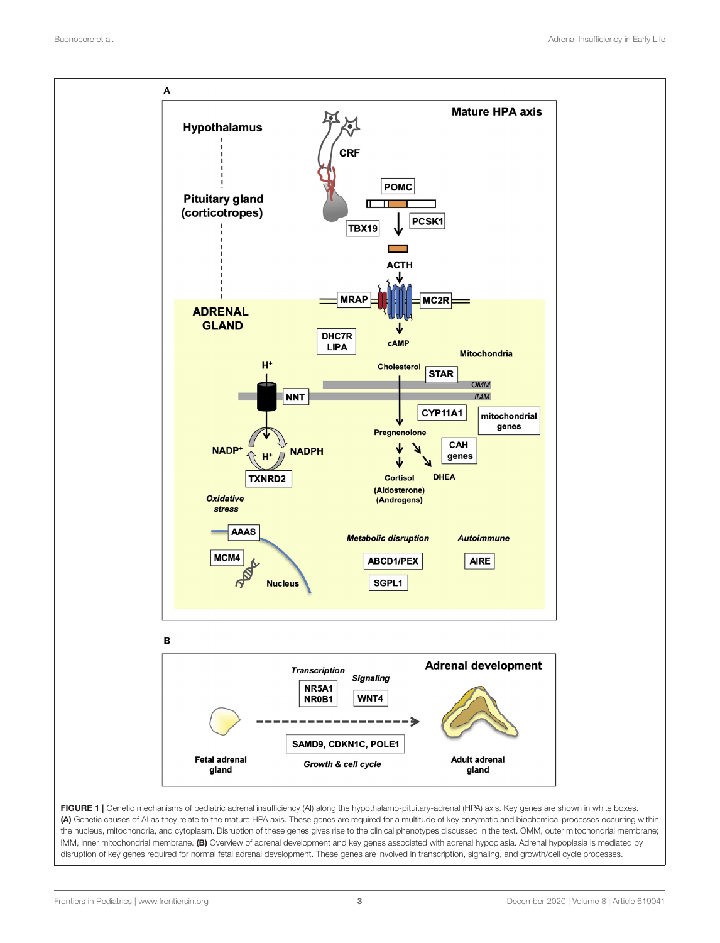

<span id="page-2-0"></span>(A) Genetic causes of AI as they relate to the mature HPA axis. These genes are required for a multitude of key enzymatic and biochemical processes occurring within the nucleus, mitochondria, and cytoplasm. Disruption of these genes gives rise to the clinical phenotypes discussed in the text. OMM, outer mitochondrial membrane; IMM, inner mitochondrial membrane. (B) Overview of adrenal development and key genes associated with adrenal hypoplasia. Adrenal hypoplasia is mediated by disruption of key genes required for normal fetal adrenal development. These genes are involved in transcription, signaling, and growth/cell cycle processes.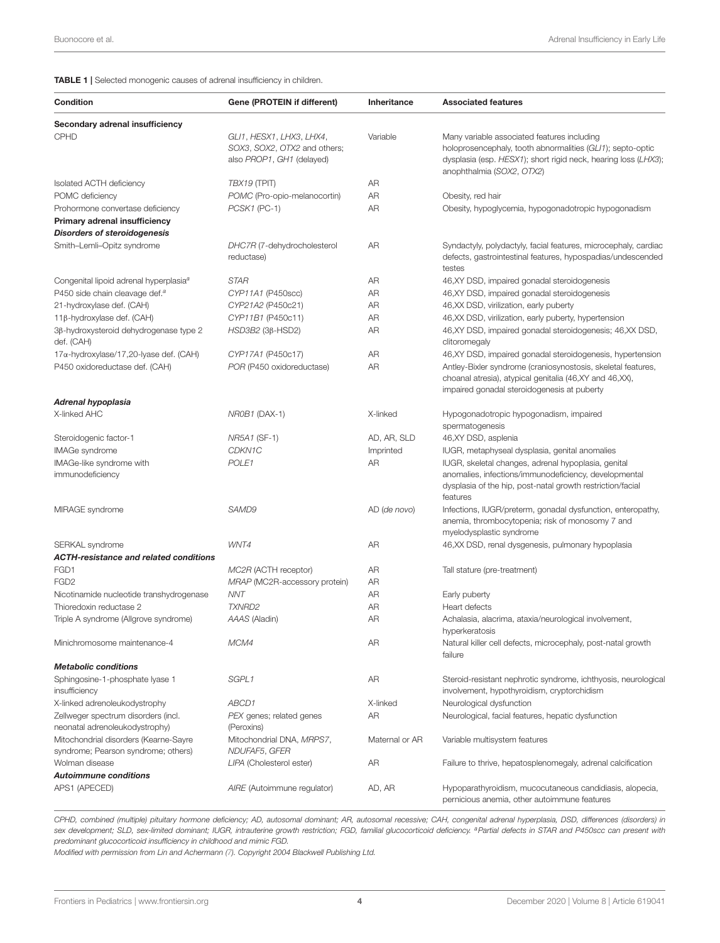<span id="page-3-0"></span>TABLE 1 | Selected monogenic causes of adrenal insufficiency in children.

| <b>Condition</b>                                      | Gene (PROTEIN if different)                                                           | Inheritance    | <b>Associated features</b>                                                                                                                                                                               |
|-------------------------------------------------------|---------------------------------------------------------------------------------------|----------------|----------------------------------------------------------------------------------------------------------------------------------------------------------------------------------------------------------|
| Secondary adrenal insufficiency                       |                                                                                       |                |                                                                                                                                                                                                          |
| <b>CPHD</b>                                           | GLI1, HESX1, LHX3, LHX4,<br>SOX3, SOX2, OTX2 and others;<br>also PROP1, GH1 (delayed) | Variable       | Many variable associated features including<br>holoprosencephaly, tooth abnormalities (GL11); septo-optic<br>dysplasia (esp. HESX1); short rigid neck, hearing loss (LHX3);<br>anophthalmia (SOX2, OTX2) |
| Isolated ACTH deficiency                              | TBX19 (TPIT)                                                                          | AR             |                                                                                                                                                                                                          |
| POMC deficiency                                       | POMC (Pro-opio-melanocortin)                                                          | AR             | Obesity, red hair                                                                                                                                                                                        |
| Prohormone convertase deficiency                      | PCSK1 (PC-1)                                                                          | AR             | Obesity, hypoglycemia, hypogonadotropic hypogonadism                                                                                                                                                     |
| Primary adrenal insufficiency                         |                                                                                       |                |                                                                                                                                                                                                          |
| <b>Disorders of steroidogenesis</b>                   |                                                                                       |                |                                                                                                                                                                                                          |
| Smith-Lemli-Opitz syndrome                            | DHC7R (7-dehydrocholesterol<br>reductase)                                             | AR             | Syndactyly, polydactyly, facial features, microcephaly, cardiac<br>defects, gastrointestinal features, hypospadias/undescended<br>testes                                                                 |
| Congenital lipoid adrenal hyperplasia <sup>a</sup>    | <b>STAR</b>                                                                           | AR             | 46, XY DSD, impaired gonadal steroidogenesis                                                                                                                                                             |
| P450 side chain cleavage def. <sup>a</sup>            | CYP11A1 (P450scc)                                                                     | AR             | 46, XY DSD, impaired gonadal steroidogenesis                                                                                                                                                             |
| 21-hydroxylase def. (CAH)                             | CYP21A2 (P450c21)                                                                     | AR             | 46, XX DSD, virilization, early puberty                                                                                                                                                                  |
| 11β-hydroxylase def. (CAH)                            | CYP11B1 (P450c11)                                                                     | AR             | 46, XX DSD, virilization, early puberty, hypertension                                                                                                                                                    |
| 3β-hydroxysteroid dehydrogenase type 2<br>def. (CAH)  | $HSD3B2$ (3 $\beta$ -HSD2)                                                            | AR             | 46, XY DSD, impaired gonadal steroidogenesis; 46, XX DSD,<br>clitoromegaly                                                                                                                               |
| $17\alpha$ -hydroxylase/17,20-lyase def. (CAH)        | CYP17A1 (P450c17)                                                                     | AR             | 46, XY DSD, impaired gonadal steroidogenesis, hypertension                                                                                                                                               |
| P450 oxidoreductase def. (CAH)                        | POR (P450 oxidoreductase)                                                             | AR             | Antley-Bixler syndrome (craniosynostosis, skeletal features,<br>choanal atresia), atypical genitalia (46,XY and 46,XX),<br>impaired gonadal steroidogenesis at puberty                                   |
| Adrenal hypoplasia                                    |                                                                                       |                |                                                                                                                                                                                                          |
| X-linked AHC                                          | NR0B1 (DAX-1)                                                                         | X-linked       | Hypogonadotropic hypogonadism, impaired<br>spermatogenesis                                                                                                                                               |
| Steroidogenic factor-1                                | NR5A1 (SF-1)                                                                          | AD, AR, SLD    | 46, XY DSD, asplenia                                                                                                                                                                                     |
| <b>IMAGe syndrome</b>                                 | CDKN1C                                                                                | Imprinted      | IUGR, metaphyseal dysplasia, genital anomalies                                                                                                                                                           |
| IMAGe-like syndrome with<br>immunodeficiency          | POLE1                                                                                 | AR             | IUGR, skeletal changes, adrenal hypoplasia, genital<br>anomalies, infections/immunodeficiency, developmental<br>dysplasia of the hip, post-natal growth restriction/facial<br>features                   |
| MIRAGE syndrome                                       | SAMD9                                                                                 | AD (de novo)   | Infections, IUGR/preterm, gonadal dysfunction, enteropathy,<br>anemia, thrombocytopenia; risk of monosomy 7 and<br>myelodysplastic syndrome                                                              |
| SERKAL syndrome                                       | WNT4                                                                                  | AR             | 46, XX DSD, renal dysgenesis, pulmonary hypoplasia                                                                                                                                                       |
| <b>ACTH-resistance and related conditions</b>         |                                                                                       |                |                                                                                                                                                                                                          |
| FGD1                                                  | MC2R (ACTH receptor)                                                                  | AR             | Tall stature (pre-treatment)                                                                                                                                                                             |
| FGD <sub>2</sub>                                      | MRAP (MC2R-accessory protein)                                                         | AR             |                                                                                                                                                                                                          |
| Nicotinamide nucleotide transhydrogenase              | NNT                                                                                   | AR             | Early puberty                                                                                                                                                                                            |
| Thioredoxin reductase 2                               | <b>TXNRD2</b>                                                                         | AR             | Heart defects                                                                                                                                                                                            |
| Triple A syndrome (Allgrove syndrome)                 | AAAS (Aladin)                                                                         | AR             | Achalasia, alacrima, ataxia/neurological involvement,<br>hyperkeratosis                                                                                                                                  |
| Minichromosome maintenance-4                          | MCM4                                                                                  | AR             | Natural killer cell defects, microcephaly, post-natal growth<br>failure                                                                                                                                  |
| <b>Metabolic conditions</b>                           |                                                                                       |                |                                                                                                                                                                                                          |
| Sphingosine-1-phosphate lyase 1<br>insufficiency      | SGPL1                                                                                 | AR             | Steroid-resistant nephrotic syndrome, ichthyosis, neurological<br>involvement, hypothyroidism, cryptorchidism                                                                                            |
| X-linked adrenoleukodystrophy                         | ABCD1                                                                                 | X-linked       | Neurological dysfunction                                                                                                                                                                                 |
| Zellweger spectrum disorders (incl.                   | PEX genes; related genes                                                              | AR             | Neurological, facial features, hepatic dysfunction                                                                                                                                                       |
| neonatal adrenoleukodystrophy)                        | (Peroxins)                                                                            |                |                                                                                                                                                                                                          |
| Mitochondrial disorders (Kearne-Sayre                 | Mitochondrial DNA, MRPS7,                                                             | Maternal or AR | Variable multisystem features                                                                                                                                                                            |
| syndrome; Pearson syndrome; others)<br>Wolman disease | NDUFAF5, GFER                                                                         |                | Failure to thrive, hepatosplenomegaly, adrenal calcification                                                                                                                                             |
| <b>Autoimmune conditions</b>                          | LIPA (Cholesterol ester)                                                              | AR             |                                                                                                                                                                                                          |
| APS1 (APECED)                                         | AIRE (Autoimmune regulator)                                                           | AD, AR         | Hypoparathyroidism, mucocutaneous candidiasis, alopecia,<br>pernicious anemia, other autoimmune features                                                                                                 |

CPHD, combined (multiple) pituitary hormone deficiency; AD, autosomal dominant; AR, autosomal recessive; CAH, congenital adrenal hyperplasia, DSD, differences (disorders) in sex development; SLD, sex-limited dominant; IUGR, intrauterine growth restriction; FGD, familial glucocorticoid deficiency. <sup>a</sup>Partial defects in STAR and P450scc can present with predominant glucocorticoid insufficiency in childhood and mimic FGD.

Modified with permission from Lin and Achermann [\(7\)](#page-7-23). Copyright 2004 Blackwell Publishing Ltd.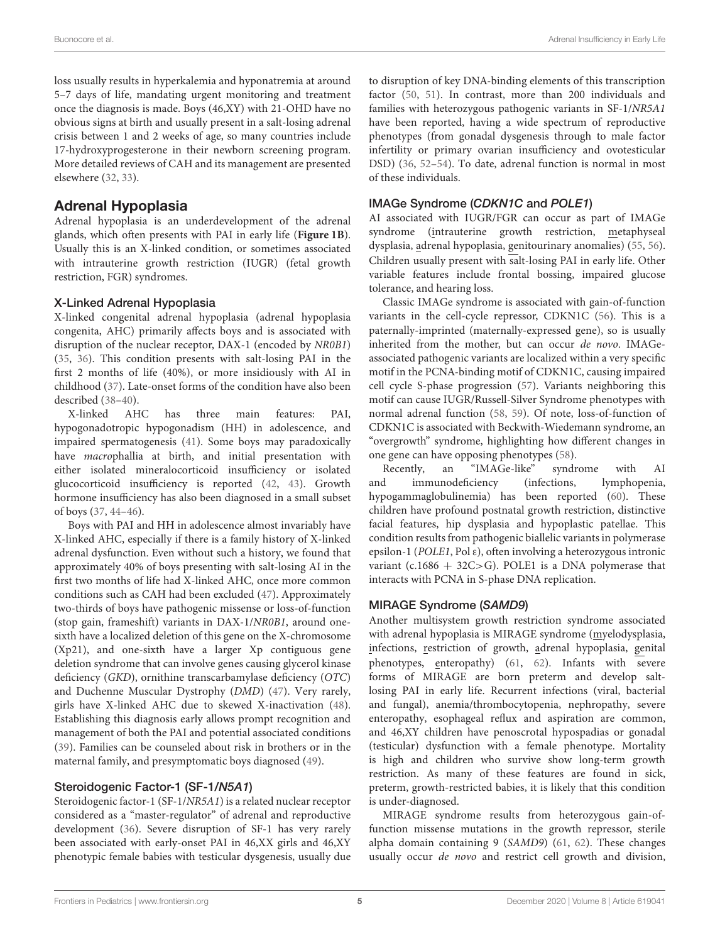loss usually results in hyperkalemia and hyponatremia at around 5–7 days of life, mandating urgent monitoring and treatment once the diagnosis is made. Boys (46,XY) with 21-OHD have no obvious signs at birth and usually present in a salt-losing adrenal crisis between 1 and 2 weeks of age, so many countries include 17-hydroxyprogesterone in their newborn screening program. More detailed reviews of CAH and its management are presented elsewhere [\(32,](#page-8-2) [33\)](#page-8-3).

# Adrenal Hypoplasia

Adrenal hypoplasia is an underdevelopment of the adrenal glands, which often presents with PAI in early life (**[Figure 1B](#page-2-0)**). Usually this is an X-linked condition, or sometimes associated with intrauterine growth restriction (IUGR) (fetal growth restriction, FGR) syndromes.

#### X-Linked Adrenal Hypoplasia

X-linked congenital adrenal hypoplasia (adrenal hypoplasia congenita, AHC) primarily affects boys and is associated with disruption of the nuclear receptor, DAX-1 (encoded by NR0B1) [\(35,](#page-8-5) [36\)](#page-8-6). This condition presents with salt-losing PAI in the first 2 months of life (40%), or more insidiously with AI in childhood [\(37\)](#page-8-7). Late-onset forms of the condition have also been described [\(38–](#page-8-8)[40\)](#page-8-9).

X-linked AHC has three main features: PAI, hypogonadotropic hypogonadism (HH) in adolescence, and impaired spermatogenesis [\(41\)](#page-8-10). Some boys may paradoxically have macrophallia at birth, and initial presentation with either isolated mineralocorticoid insufficiency or isolated glucocorticoid insufficiency is reported [\(42,](#page-8-11) [43\)](#page-8-12). Growth hormone insufficiency has also been diagnosed in a small subset of boys [\(37,](#page-8-7) [44–](#page-8-13)[46\)](#page-8-14).

Boys with PAI and HH in adolescence almost invariably have X-linked AHC, especially if there is a family history of X-linked adrenal dysfunction. Even without such a history, we found that approximately 40% of boys presenting with salt-losing AI in the first two months of life had X-linked AHC, once more common conditions such as CAH had been excluded [\(47\)](#page-8-15). Approximately two-thirds of boys have pathogenic missense or loss-of-function (stop gain, frameshift) variants in DAX-1/NR0B1, around onesixth have a localized deletion of this gene on the X-chromosome (Xp21), and one-sixth have a larger Xp contiguous gene deletion syndrome that can involve genes causing glycerol kinase deficiency (GKD), ornithine transcarbamylase deficiency (OTC) and Duchenne Muscular Dystrophy (DMD) [\(47\)](#page-8-15). Very rarely, girls have X-linked AHC due to skewed X-inactivation [\(48\)](#page-8-16). Establishing this diagnosis early allows prompt recognition and management of both the PAI and potential associated conditions [\(39\)](#page-8-17). Families can be counseled about risk in brothers or in the maternal family, and presymptomatic boys diagnosed [\(49\)](#page-8-18).

#### Steroidogenic Factor-1 (SF-1/N5A1)

Steroidogenic factor-1 (SF-1/NR5A1) is a related nuclear receptor considered as a "master-regulator" of adrenal and reproductive development [\(36\)](#page-8-6). Severe disruption of SF-1 has very rarely been associated with early-onset PAI in 46,XX girls and 46,XY phenotypic female babies with testicular dysgenesis, usually due to disruption of key DNA-binding elements of this transcription factor [\(50,](#page-8-19) [51\)](#page-8-20). In contrast, more than 200 individuals and families with heterozygous pathogenic variants in SF-1/NR5A1 have been reported, having a wide spectrum of reproductive phenotypes (from gonadal dysgenesis through to male factor infertility or primary ovarian insufficiency and ovotesticular DSD) [\(36,](#page-8-6) [52](#page-8-21)[–54\)](#page-8-22). To date, adrenal function is normal in most of these individuals.

# IMAGe Syndrome (CDKN1C and POLE1)

AI associated with IUGR/FGR can occur as part of IMAGe syndrome (intrauterine growth restriction, metaphyseal dysplasia, adrenal hypoplasia, genitourinary anomalies) [\(55,](#page-8-23) [56\)](#page-8-24). Children usually present with salt-losing PAI in early life. Other variable features include frontal bossing, impaired glucose tolerance, and hearing loss.

Classic IMAGe syndrome is associated with gain-of-function variants in the cell-cycle repressor, CDKN1C [\(56\)](#page-8-24). This is a paternally-imprinted (maternally-expressed gene), so is usually inherited from the mother, but can occur de novo. IMAGeassociated pathogenic variants are localized within a very specific motif in the PCNA-binding motif of CDKN1C, causing impaired cell cycle S-phase progression [\(57\)](#page-8-25). Variants neighboring this motif can cause IUGR/Russell-Silver Syndrome phenotypes with normal adrenal function [\(58,](#page-8-26) [59\)](#page-8-27). Of note, loss-of-function of CDKN1C is associated with Beckwith-Wiedemann syndrome, an "overgrowth" syndrome, highlighting how different changes in one gene can have opposing phenotypes [\(58\)](#page-8-26).<br>Recently, an "IMAGe-like" syndrome

Recently, an "IMAGe-like" syndrome with AI and immunodeficiency (infections, lymphopenia, hypogammaglobulinemia) has been reported [\(60\)](#page-8-28). These children have profound postnatal growth restriction, distinctive facial features, hip dysplasia and hypoplastic patellae. This condition results from pathogenic biallelic variants in polymerase epsilon-1 (POLE1, Pol ε), often involving a heterozygous intronic variant (c.1686 + 32C>G). POLE1 is a DNA polymerase that interacts with PCNA in S-phase DNA replication.

# MIRAGE Syndrome (SAMD9)

Another multisystem growth restriction syndrome associated with adrenal hypoplasia is MIRAGE syndrome (myelodysplasia, infections, restriction of growth, adrenal hypoplasia, genital phenotypes, enteropathy) [\(61,](#page-8-29) [62\)](#page-8-30). Infants with severe forms of MIRAGE are born preterm and develop saltlosing PAI in early life. Recurrent infections (viral, bacterial and fungal), anemia/thrombocytopenia, nephropathy, severe enteropathy, esophageal reflux and aspiration are common, and 46,XY children have penoscrotal hypospadias or gonadal (testicular) dysfunction with a female phenotype. Mortality is high and children who survive show long-term growth restriction. As many of these features are found in sick, preterm, growth-restricted babies, it is likely that this condition is under-diagnosed.

MIRAGE syndrome results from heterozygous gain-offunction missense mutations in the growth repressor, sterile alpha domain containing 9 (SAMD9) [\(61,](#page-8-29) [62\)](#page-8-30). These changes usually occur de novo and restrict cell growth and division,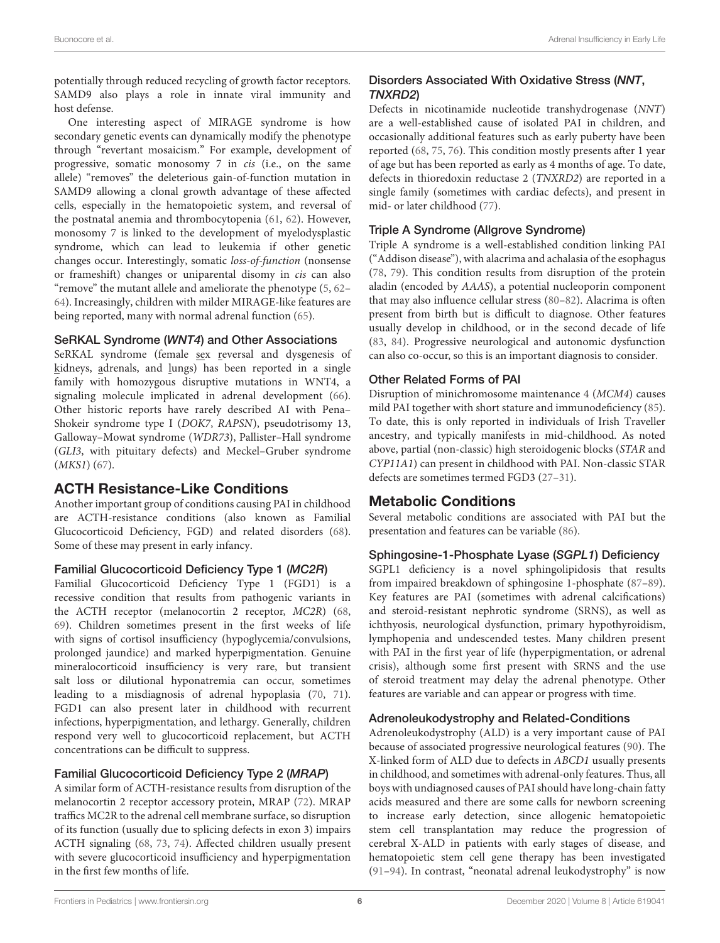potentially through reduced recycling of growth factor receptors. SAMD9 also plays a role in innate viral immunity and host defense.

One interesting aspect of MIRAGE syndrome is how secondary genetic events can dynamically modify the phenotype through "revertant mosaicism." For example, development of progressive, somatic monosomy 7 in *cis* (i.e., on the same allele) "removes" the deleterious gain-of-function mutation in SAMD9 allowing a clonal growth advantage of these affected cells, especially in the hematopoietic system, and reversal of the postnatal anemia and thrombocytopenia [\(61,](#page-8-29) [62\)](#page-8-30). However, monosomy 7 is linked to the development of myelodysplastic syndrome, which can lead to leukemia if other genetic changes occur. Interestingly, somatic loss-of-function (nonsense or frameshift) changes or uniparental disomy in cis can also "remove" the mutant allele and ameliorate the phenotype [\(5,](#page-7-2) [62–](#page-8-30) [64\)](#page-9-0). Increasingly, children with milder MIRAGE-like features are being reported, many with normal adrenal function [\(65\)](#page-9-1).

#### SeRKAL Syndrome (WNT4) and Other Associations

SeRKAL syndrome (female sex reversal and dysgenesis of kidneys, adrenals, and lungs) has been reported in a single family with homozygous disruptive mutations in WNT4, a signaling molecule implicated in adrenal development [\(66\)](#page-9-2). Other historic reports have rarely described AI with Pena– Shokeir syndrome type I (DOK7, RAPSN), pseudotrisomy 13, Galloway–Mowat syndrome (WDR73), Pallister–Hall syndrome (GLI3, with pituitary defects) and Meckel–Gruber syndrome (MKS1) [\(67\)](#page-9-3).

# ACTH Resistance-Like Conditions

Another important group of conditions causing PAI in childhood are ACTH-resistance conditions (also known as Familial Glucocorticoid Deficiency, FGD) and related disorders [\(68\)](#page-9-4). Some of these may present in early infancy.

#### Familial Glucocorticoid Deficiency Type 1 (MC2R)

Familial Glucocorticoid Deficiency Type 1 (FGD1) is a recessive condition that results from pathogenic variants in the ACTH receptor (melanocortin 2 receptor, MC2R) [\(68,](#page-9-4) [69\)](#page-9-5). Children sometimes present in the first weeks of life with signs of cortisol insufficiency (hypoglycemia/convulsions, prolonged jaundice) and marked hyperpigmentation. Genuine mineralocorticoid insufficiency is very rare, but transient salt loss or dilutional hyponatremia can occur, sometimes leading to a misdiagnosis of adrenal hypoplasia [\(70,](#page-9-6) [71\)](#page-9-7). FGD1 can also present later in childhood with recurrent infections, hyperpigmentation, and lethargy. Generally, children respond very well to glucocorticoid replacement, but ACTH concentrations can be difficult to suppress.

#### Familial Glucocorticoid Deficiency Type 2 (MRAP)

A similar form of ACTH-resistance results from disruption of the melanocortin 2 receptor accessory protein, MRAP [\(72\)](#page-9-8). MRAP traffics MC2R to the adrenal cell membrane surface, so disruption of its function (usually due to splicing defects in exon 3) impairs ACTH signaling [\(68,](#page-9-4) [73,](#page-9-9) [74\)](#page-9-10). Affected children usually present with severe glucocorticoid insufficiency and hyperpigmentation in the first few months of life.

## Disorders Associated With Oxidative Stress (NNT, TNXRD2)

Defects in nicotinamide nucleotide transhydrogenase (NNT) are a well-established cause of isolated PAI in children, and occasionally additional features such as early puberty have been reported [\(68,](#page-9-4) [75,](#page-9-11) [76\)](#page-9-12). This condition mostly presents after 1 year of age but has been reported as early as 4 months of age. To date, defects in thioredoxin reductase 2 (TNXRD2) are reported in a single family (sometimes with cardiac defects), and present in mid- or later childhood [\(77\)](#page-9-13).

#### Triple A Syndrome (Allgrove Syndrome)

Triple A syndrome is a well-established condition linking PAI ("Addison disease"), with alacrima and achalasia of the esophagus [\(78,](#page-9-14) [79\)](#page-9-15). This condition results from disruption of the protein aladin (encoded by AAAS), a potential nucleoporin component that may also influence cellular stress [\(80–](#page-9-16)[82\)](#page-9-17). Alacrima is often present from birth but is difficult to diagnose. Other features usually develop in childhood, or in the second decade of life [\(83,](#page-9-18) [84\)](#page-9-19). Progressive neurological and autonomic dysfunction can also co-occur, so this is an important diagnosis to consider.

#### Other Related Forms of PAI

Disruption of minichromosome maintenance 4 (MCM4) causes mild PAI together with short stature and immunodeficiency [\(85\)](#page-9-20). To date, this is only reported in individuals of Irish Traveller ancestry, and typically manifests in mid-childhood. As noted above, partial (non-classic) high steroidogenic blocks (STAR and CYP11A1) can present in childhood with PAI. Non-classic STAR defects are sometimes termed FGD3 [\(27](#page-8-0)[–31\)](#page-8-1).

# Metabolic Conditions

Several metabolic conditions are associated with PAI but the presentation and features can be variable [\(86\)](#page-9-21).

#### Sphingosine-1-Phosphate Lyase (SGPL1) Deficiency

SGPL1 deficiency is a novel sphingolipidosis that results from impaired breakdown of sphingosine 1-phosphate [\(87–](#page-9-22)[89\)](#page-9-23). Key features are PAI (sometimes with adrenal calcifications) and steroid-resistant nephrotic syndrome (SRNS), as well as ichthyosis, neurological dysfunction, primary hypothyroidism, lymphopenia and undescended testes. Many children present with PAI in the first year of life (hyperpigmentation, or adrenal crisis), although some first present with SRNS and the use of steroid treatment may delay the adrenal phenotype. Other features are variable and can appear or progress with time.

#### Adrenoleukodystrophy and Related-Conditions

Adrenoleukodystrophy (ALD) is a very important cause of PAI because of associated progressive neurological features [\(90\)](#page-9-24). The X-linked form of ALD due to defects in ABCD1 usually presents in childhood, and sometimes with adrenal-only features. Thus, all boys with undiagnosed causes of PAI should have long-chain fatty acids measured and there are some calls for newborn screening to increase early detection, since allogenic hematopoietic stem cell transplantation may reduce the progression of cerebral X-ALD in patients with early stages of disease, and hematopoietic stem cell gene therapy has been investigated [\(91](#page-9-25)[–94\)](#page-9-26). In contrast, "neonatal adrenal leukodystrophy" is now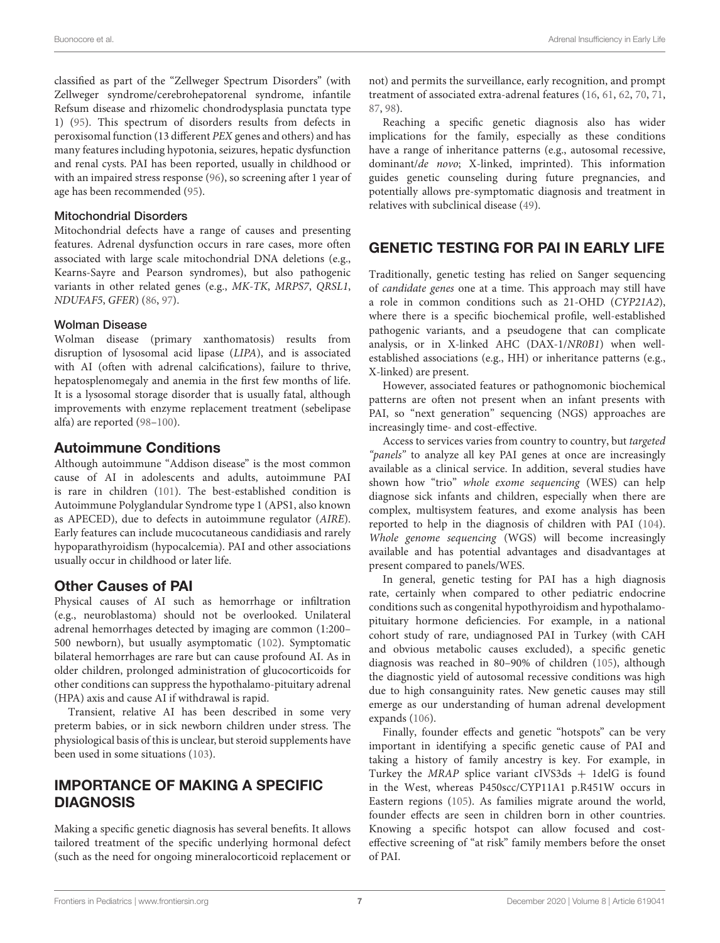classified as part of the "Zellweger Spectrum Disorders" (with Zellweger syndrome/cerebrohepatorenal syndrome, infantile Refsum disease and rhizomelic chondrodysplasia punctata type 1) [\(95\)](#page-9-27). This spectrum of disorders results from defects in peroxisomal function (13 different PEX genes and others) and has many features including hypotonia, seizures, hepatic dysfunction and renal cysts. PAI has been reported, usually in childhood or with an impaired stress response [\(96\)](#page-9-28), so screening after 1 year of age has been recommended [\(95\)](#page-9-27).

#### Mitochondrial Disorders

Mitochondrial defects have a range of causes and presenting features. Adrenal dysfunction occurs in rare cases, more often associated with large scale mitochondrial DNA deletions (e.g., Kearns-Sayre and Pearson syndromes), but also pathogenic variants in other related genes (e.g., MK-TK, MRPS7, QRSL1, NDUFAF5, GFER) [\(86,](#page-9-21) [97\)](#page-9-29).

#### Wolman Disease

Wolman disease (primary xanthomatosis) results from disruption of lysosomal acid lipase (LIPA), and is associated with AI (often with adrenal calcifications), failure to thrive, hepatosplenomegaly and anemia in the first few months of life. It is a lysosomal storage disorder that is usually fatal, although improvements with enzyme replacement treatment (sebelipase alfa) are reported [\(98–](#page-9-30)[100\)](#page-10-0).

# Autoimmune Conditions

Although autoimmune "Addison disease" is the most common cause of AI in adolescents and adults, autoimmune PAI is rare in children [\(101\)](#page-10-1). The best-established condition is Autoimmune Polyglandular Syndrome type 1 (APS1, also known as APECED), due to defects in autoimmune regulator (AIRE). Early features can include mucocutaneous candidiasis and rarely hypoparathyroidism (hypocalcemia). PAI and other associations usually occur in childhood or later life.

# Other Causes of PAI

Physical causes of AI such as hemorrhage or infiltration (e.g., neuroblastoma) should not be overlooked. Unilateral adrenal hemorrhages detected by imaging are common (1:200– 500 newborn), but usually asymptomatic [\(102\)](#page-10-2). Symptomatic bilateral hemorrhages are rare but can cause profound AI. As in older children, prolonged administration of glucocorticoids for other conditions can suppress the hypothalamo-pituitary adrenal (HPA) axis and cause AI if withdrawal is rapid.

Transient, relative AI has been described in some very preterm babies, or in sick newborn children under stress. The physiological basis of this is unclear, but steroid supplements have been used in some situations [\(103\)](#page-10-3).

# IMPORTANCE OF MAKING A SPECIFIC DIAGNOSIS

Making a specific genetic diagnosis has several benefits. It allows tailored treatment of the specific underlying hormonal defect (such as the need for ongoing mineralocorticoid replacement or

not) and permits the surveillance, early recognition, and prompt treatment of associated extra-adrenal features [\(16,](#page-7-12) [61,](#page-8-29) [62,](#page-8-30) [70,](#page-9-6) [71,](#page-9-7) [87,](#page-9-22) [98\)](#page-9-30).

Reaching a specific genetic diagnosis also has wider implications for the family, especially as these conditions have a range of inheritance patterns (e.g., autosomal recessive, dominant/de novo; X-linked, imprinted). This information guides genetic counseling during future pregnancies, and potentially allows pre-symptomatic diagnosis and treatment in relatives with subclinical disease [\(49\)](#page-8-18).

# GENETIC TESTING FOR PAI IN EARLY LIFE

Traditionally, genetic testing has relied on Sanger sequencing of candidate genes one at a time. This approach may still have a role in common conditions such as 21-OHD (CYP21A2), where there is a specific biochemical profile, well-established pathogenic variants, and a pseudogene that can complicate analysis, or in X-linked AHC (DAX-1/NR0B1) when wellestablished associations (e.g., HH) or inheritance patterns (e.g., X-linked) are present.

However, associated features or pathognomonic biochemical patterns are often not present when an infant presents with PAI, so "next generation" sequencing (NGS) approaches are increasingly time- and cost-effective.

Access to services varies from country to country, but targeted "panels" to analyze all key PAI genes at once are increasingly available as a clinical service. In addition, several studies have shown how "trio" whole exome sequencing (WES) can help diagnose sick infants and children, especially when there are complex, multisystem features, and exome analysis has been reported to help in the diagnosis of children with PAI [\(104\)](#page-10-4). Whole genome sequencing (WGS) will become increasingly available and has potential advantages and disadvantages at present compared to panels/WES.

In general, genetic testing for PAI has a high diagnosis rate, certainly when compared to other pediatric endocrine conditions such as congenital hypothyroidism and hypothalamopituitary hormone deficiencies. For example, in a national cohort study of rare, undiagnosed PAI in Turkey (with CAH and obvious metabolic causes excluded), a specific genetic diagnosis was reached in 80–90% of children [\(105\)](#page-10-5), although the diagnostic yield of autosomal recessive conditions was high due to high consanguinity rates. New genetic causes may still emerge as our understanding of human adrenal development expands [\(106\)](#page-10-6).

Finally, founder effects and genetic "hotspots" can be very important in identifying a specific genetic cause of PAI and taking a history of family ancestry is key. For example, in Turkey the MRAP splice variant cIVS3ds + 1delG is found in the West, whereas P450scc/CYP11A1 p.R451W occurs in Eastern regions [\(105\)](#page-10-5). As families migrate around the world, founder effects are seen in children born in other countries. Knowing a specific hotspot can allow focused and costeffective screening of "at risk" family members before the onset of PAI.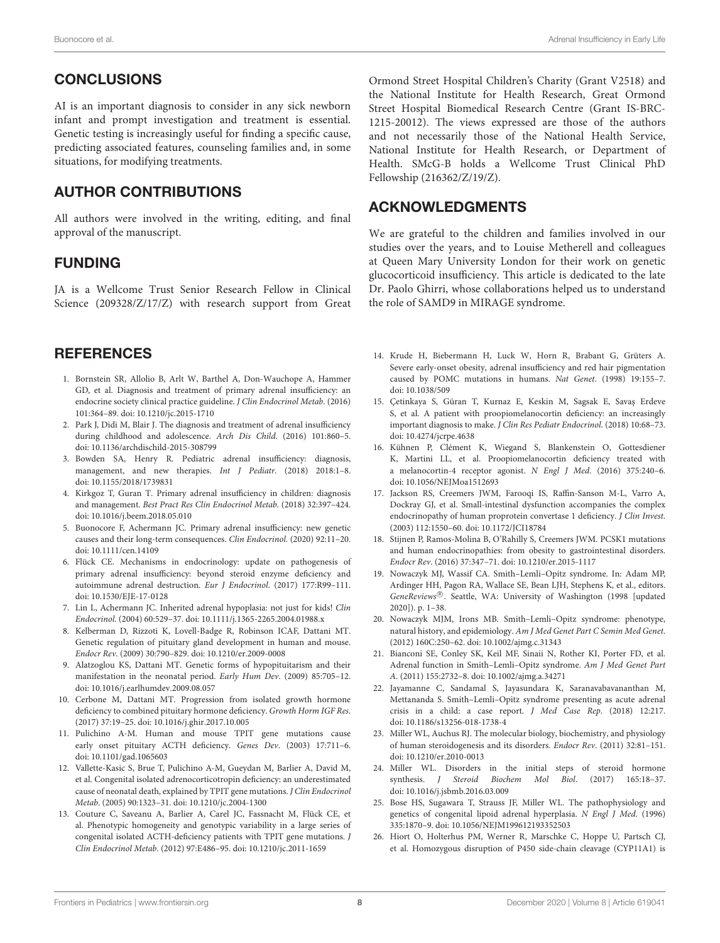# **CONCLUSIONS**

AI is an important diagnosis to consider in any sick newborn infant and prompt investigation and treatment is essential. Genetic testing is increasingly useful for finding a specific cause, predicting associated features, counseling families and, in some situations, for modifying treatments.

# AUTHOR CONTRIBUTIONS

All authors were involved in the writing, editing, and final approval of the manuscript.

# FUNDING

JA is a Wellcome Trust Senior Research Fellow in Clinical Science (209328/Z/17/Z) with research support from Great

# **REFERENCES**

- <span id="page-7-0"></span>1. Bornstein SR, Allolio B, Arlt W, Barthel A, Don-Wauchope A, Hammer GD, et al. Diagnosis and treatment of primary adrenal insufficiency: an endocrine society clinical practice guideline. J Clin Endocrinol Metab. (2016) 101:364–89. doi: [10.1210/jc.2015-1710](https://doi.org/10.1210/jc.2015-1710)
- 2. Park J, Didi M, Blair J. The diagnosis and treatment of adrenal insufficiency during childhood and adolescence. Arch Dis Child. (2016) 101:860–5. doi: [10.1136/archdischild-2015-308799](https://doi.org/10.1136/archdischild-2015-308799)
- 3. Bowden SA, Henry R. Pediatric adrenal insufficiency: diagnosis, management, and new therapies. Int J Pediatr. (2018) 2018:1–8. doi: [10.1155/2018/1739831](https://doi.org/10.1155/2018/1739831)
- <span id="page-7-1"></span>4. Kirkgoz T, Guran T. Primary adrenal insufficiency in children: diagnosis and management. Best Pract Res Clin Endocrinol Metab. (2018) 32:397–424. doi: [10.1016/j.beem.2018.05.010](https://doi.org/10.1016/j.beem.2018.05.010)
- <span id="page-7-2"></span>5. Buonocore F, Achermann JC. Primary adrenal insufficiency: new genetic causes and their long-term consequences. Clin Endocrinol. (2020) 92:11–20. doi: [10.1111/cen.14109](https://doi.org/10.1111/cen.14109)
- <span id="page-7-3"></span>6. Flück CE. Mechanisms in endocrinology: update on pathogenesis of primary adrenal insufficiency: beyond steroid enzyme deficiency and autoimmune adrenal destruction. Eur J Endocrinol. (2017) 177:R99–111. doi: [10.1530/EJE-17-0128](https://doi.org/10.1530/EJE-17-0128)
- <span id="page-7-23"></span>7. Lin L, Achermann JC. Inherited adrenal hypoplasia: not just for kids! Clin Endocrinol. (2004) 60:529–37. doi: [10.1111/j.1365-2265.2004.01988.x](https://doi.org/10.1111/j.1365-2265.2004.01988.x)
- <span id="page-7-4"></span>8. Kelberman D, Rizzoti K, Lovell-Badge R, Robinson ICAF, Dattani MT. Genetic regulation of pituitary gland development in human and mouse. Endocr Rev. (2009) 30:790–829. doi: [10.1210/er.2009-0008](https://doi.org/10.1210/er.2009-0008)
- <span id="page-7-5"></span>9. Alatzoglou KS, Dattani MT. Genetic forms of hypopituitarism and their manifestation in the neonatal period. Early Hum Dev. (2009) 85:705–12. doi: [10.1016/j.earlhumdev.2009.08.057](https://doi.org/10.1016/j.earlhumdev.2009.08.057)
- <span id="page-7-6"></span>10. Cerbone M, Dattani MT. Progression from isolated growth hormone deficiency to combined pituitary hormone deficiency. Growth Horm IGF Res. (2017) 37:19–25. doi: [10.1016/j.ghir.2017.10.005](https://doi.org/10.1016/j.ghir.2017.10.005)
- <span id="page-7-7"></span>11. Pulichino A-M. Human and mouse TPIT gene mutations cause early onset pituitary ACTH deficiency. Genes Dev. (2003) 17:711–6. doi: [10.1101/gad.1065603](https://doi.org/10.1101/gad.1065603)
- <span id="page-7-8"></span>12. Vallette-Kasic S, Brue T, Pulichino A-M, Gueydan M, Barlier A, David M, et al. Congenital isolated adrenocorticotropin deficiency: an underestimated cause of neonatal death, explained by TPIT gene mutations. J Clin Endocrinol Metab. (2005) 90:1323–31. doi: [10.1210/jc.2004-1300](https://doi.org/10.1210/jc.2004-1300)
- <span id="page-7-9"></span>13. Couture C, Saveanu A, Barlier A, Carel JC, Fassnacht M, Flück CE, et al. Phenotypic homogeneity and genotypic variability in a large series of congenital isolated ACTH-deficiency patients with TPIT gene mutations. J Clin Endocrinol Metab. (2012) 97:E486–95. doi: [10.1210/jc.2011-1659](https://doi.org/10.1210/jc.2011-1659)

Ormond Street Hospital Children's Charity (Grant V2518) and the National Institute for Health Research, Great Ormond Street Hospital Biomedical Research Centre (Grant IS-BRC-1215-20012). The views expressed are those of the authors and not necessarily those of the National Health Service, National Institute for Health Research, or Department of Health. SMcG-B holds a Wellcome Trust Clinical PhD Fellowship (216362/Z/19/Z).

# ACKNOWLEDGMENTS

We are grateful to the children and families involved in our studies over the years, and to Louise Metherell and colleagues at Queen Mary University London for their work on genetic glucocorticoid insufficiency. This article is dedicated to the late Dr. Paolo Ghirri, whose collaborations helped us to understand the role of SAMD9 in MIRAGE syndrome.

- <span id="page-7-10"></span>14. Krude H, Biebermann H, Luck W, Horn R, Brabant G, Grüters A. Severe early-onset obesity, adrenal insufficiency and red hair pigmentation caused by POMC mutations in humans. Nat Genet. (1998) 19:155–7. doi: [10.1038/509](https://doi.org/10.1038/509)
- <span id="page-7-11"></span>15. Çetinkaya S, Güran T, Kurnaz E, Keskin M, Sagsak E, Savaş Erdeve S, et al. A patient with proopiomelanocortin deficiency: an increasingly important diagnosis to make. J Clin Res Pediatr Endocrinol. (2018) 10:68–73. doi: [10.4274/jcrpe.4638](https://doi.org/10.4274/jcrpe.4638)
- <span id="page-7-12"></span>16. Kühnen P, Clément K, Wiegand S, Blankenstein O, Gottesdiener K, Martini LL, et al. Proopiomelanocortin deficiency treated with a melanocortin-4 receptor agonist. N Engl J Med. (2016) 375:240–6. doi: [10.1056/NEJMoa1512693](https://doi.org/10.1056/NEJMoa1512693)
- <span id="page-7-13"></span>17. Jackson RS, Creemers JWM, Farooqi IS, Raffin-Sanson M-L, Varro A, Dockray GJ, et al. Small-intestinal dysfunction accompanies the complex endocrinopathy of human proprotein convertase 1 deficiency. J Clin Invest. (2003) 112:1550–60. doi: [10.1172/JCI18784](https://doi.org/10.1172/JCI18784)
- <span id="page-7-14"></span>18. Stijnen P, Ramos-Molina B, O'Rahilly S, Creemers JWM. PCSK1 mutations and human endocrinopathies: from obesity to gastrointestinal disorders. Endocr Rev. (2016) 37:347–71. doi: [10.1210/er.2015-1117](https://doi.org/10.1210/er.2015-1117)
- <span id="page-7-15"></span>19. Nowaczyk MJ, Wassif CA. Smith–Lemli–Opitz syndrome. In: Adam MP, Ardinger HH, Pagon RA, Wallace SE, Bean LJH, Stephens K, et al., editors. GeneReviews®. Seattle, WA: University of Washington (1998 [updated 2020]). p. 1–38.
- <span id="page-7-16"></span>20. Nowaczyk MJM, Irons MB. Smith–Lemli–Opitz syndrome: phenotype, natural history, and epidemiology. Am J Med Genet Part C Semin Med Genet. (2012) 160C:250–62. doi: [10.1002/ajmg.c.31343](https://doi.org/10.1002/ajmg.c.31343)
- <span id="page-7-17"></span>21. Bianconi SE, Conley SK, Keil MF, Sinaii N, Rother KI, Porter FD, et al. Adrenal function in Smith–Lemli–Opitz syndrome. Am J Med Genet Part A. (2011) 155:2732–8. doi: [10.1002/ajmg.a.34271](https://doi.org/10.1002/ajmg.a.34271)
- <span id="page-7-18"></span>22. Jayamanne C, Sandamal S, Jayasundara K, Saranavabavananthan M, Mettananda S. Smith–Lemli–Opitz syndrome presenting as acute adrenal crisis in a child: a case report. J Med Case Rep. (2018) 12:217. doi: [10.1186/s13256-018-1738-4](https://doi.org/10.1186/s13256-018-1738-4)
- <span id="page-7-19"></span>23. Miller WL, Auchus RJ. The molecular biology, biochemistry, and physiology of human steroidogenesis and its disorders. Endocr Rev. (2011) 32:81–151. doi: [10.1210/er.2010-0013](https://doi.org/10.1210/er.2010-0013)
- <span id="page-7-20"></span>24. Miller WL. Disorders in the initial steps of steroid hormone synthesis. J Steroid Biochem Mol Biol. (2017) 165:18–37. doi: [10.1016/j.jsbmb.2016.03.009](https://doi.org/10.1016/j.jsbmb.2016.03.009)
- <span id="page-7-21"></span>25. Bose HS, Sugawara T, Strauss JF, Miller WL. The pathophysiology and genetics of congenital lipoid adrenal hyperplasia. N Engl J Med. (1996) 335:1870–9. doi: [10.1056/NEJM199612193352503](https://doi.org/10.1056/NEJM199612193352503)
- <span id="page-7-22"></span>26. Hiort O, Holterhus PM, Werner R, Marschke C, Hoppe U, Partsch CJ, et al. Homozygous disruption of P450 side-chain cleavage (CYP11A1) is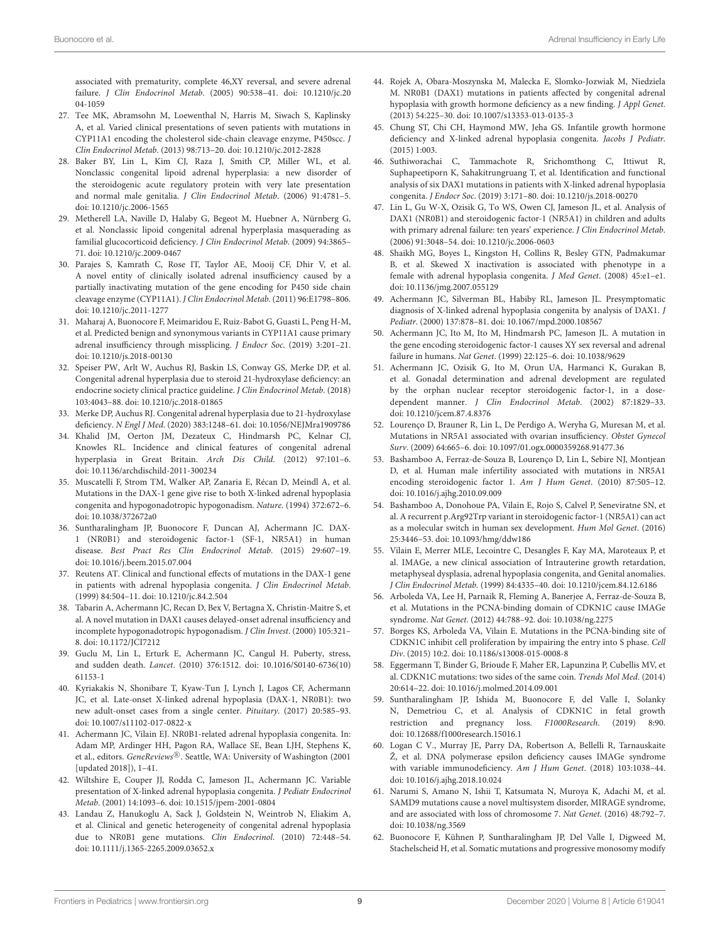associated with prematurity, complete 46,XY reversal, and severe adrenal failure. J Clin Endocrinol Metab[. \(2005\) 90:538–41. doi: 10.1210/jc.20](https://doi.org/10.1210/jc.2004-1059) 04-1059

- <span id="page-8-0"></span>27. Tee MK, Abramsohn M, Loewenthal N, Harris M, Siwach S, Kaplinsky A, et al. Varied clinical presentations of seven patients with mutations in CYP11A1 encoding the cholesterol side-chain cleavage enzyme, P450scc. J Clin Endocrinol Metab. (2013) 98:713–20. doi: [10.1210/jc.2012-2828](https://doi.org/10.1210/jc.2012-2828)
- 28. Baker BY, Lin L, Kim CJ, Raza J, Smith CP, Miller WL, et al. Nonclassic congenital lipoid adrenal hyperplasia: a new disorder of the steroidogenic acute regulatory protein with very late presentation and normal male genitalia. J Clin Endocrinol Metab. (2006) 91:4781–5. doi: [10.1210/jc.2006-1565](https://doi.org/10.1210/jc.2006-1565)
- 29. Metherell LA, Naville D, Halaby G, Begeot M, Huebner A, Nürnberg G, et al. Nonclassic lipoid congenital adrenal hyperplasia masquerading as familial glucocorticoid deficiency. J Clin Endocrinol Metab. (2009) 94:3865– 71. doi: [10.1210/jc.2009-0467](https://doi.org/10.1210/jc.2009-0467)
- 30. Parajes S, Kamrath C, Rose IT, Taylor AE, Mooij CF, Dhir V, et al. A novel entity of clinically isolated adrenal insufficiency caused by a partially inactivating mutation of the gene encoding for P450 side chain cleavage enzyme (CYP11A1). J Clin Endocrinol Metab. (2011) 96:E1798–806. doi: [10.1210/jc.2011-1277](https://doi.org/10.1210/jc.2011-1277)
- <span id="page-8-1"></span>31. Maharaj A, Buonocore F, Meimaridou E, Ruiz-Babot G, Guasti L, Peng H-M, et al. Predicted benign and synonymous variants in CYP11A1 cause primary adrenal insufficiency through missplicing. J Endocr Soc. (2019) 3:201–21. doi: [10.1210/js.2018-00130](https://doi.org/10.1210/js.2018-00130)
- <span id="page-8-2"></span>32. Speiser PW, Arlt W, Auchus RJ, Baskin LS, Conway GS, Merke DP, et al. Congenital adrenal hyperplasia due to steroid 21-hydroxylase deficiency: an endocrine society clinical practice guideline. J Clin Endocrinol Metab. (2018) 103:4043–88. doi: [10.1210/jc.2018-01865](https://doi.org/10.1210/jc.2018-01865)
- <span id="page-8-3"></span>33. Merke DP, Auchus RJ. Congenital adrenal hyperplasia due to 21-hydroxylase deficiency. N Engl J Med. (2020) 383:1248–61. doi: [10.1056/NEJMra1909786](https://doi.org/10.1056/NEJMra1909786)
- <span id="page-8-4"></span>34. Khalid JM, Oerton JM, Dezateux C, Hindmarsh PC, Kelnar CJ, Knowles RL. Incidence and clinical features of congenital adrenal hyperplasia in Great Britain. Arch Dis Child. (2012) 97:101–6. doi: [10.1136/archdischild-2011-300234](https://doi.org/10.1136/archdischild-2011-300234)
- <span id="page-8-5"></span>35. Muscatelli F, Strom TM, Walker AP, Zanaria E, Récan D, Meindl A, et al. Mutations in the DAX-1 gene give rise to both X-linked adrenal hypoplasia congenita and hypogonadotropic hypogonadism. Nature. (1994) 372:672–6. doi: [10.1038/372672a0](https://doi.org/10.1038/372672a0)
- <span id="page-8-6"></span>36. Suntharalingham JP, Buonocore F, Duncan AJ, Achermann JC. DAX-1 (NR0B1) and steroidogenic factor-1 (SF-1, NR5A1) in human disease. Best Pract Res Clin Endocrinol Metab. (2015) 29:607–19. doi: [10.1016/j.beem.2015.07.004](https://doi.org/10.1016/j.beem.2015.07.004)
- <span id="page-8-7"></span>37. Reutens AT. Clinical and functional effects of mutations in the DAX-1 gene in patients with adrenal hypoplasia congenita. J Clin Endocrinol Metab. (1999) 84:504–11. doi: [10.1210/jc.84.2.504](https://doi.org/10.1210/jc.84.2.504)
- <span id="page-8-8"></span>38. Tabarin A, Achermann JC, Recan D, Bex V, Bertagna X, Christin-Maitre S, et al. A novel mutation in DAX1 causes delayed-onset adrenal insufficiency and incomplete hypogonadotropic hypogonadism. J Clin Invest. (2000) 105:321– 8. doi: [10.1172/JCI7212](https://doi.org/10.1172/JCI7212)
- <span id="page-8-17"></span>39. Guclu M, Lin L, Erturk E, Achermann JC, Cangul H. Puberty, stress, and sudden death. Lancet[. \(2010\) 376:1512. doi: 10.1016/S0140-6736\(10\)](https://doi.org/10.1016/S0140-6736(10)61153-1) 61153-1
- <span id="page-8-9"></span>40. Kyriakakis N, Shonibare T, Kyaw-Tun J, Lynch J, Lagos CF, Achermann JC, et al. Late-onset X-linked adrenal hypoplasia (DAX-1, NR0B1): two new adult-onset cases from a single center. Pituitary. (2017) 20:585–93. doi: [10.1007/s11102-017-0822-x](https://doi.org/10.1007/s11102-017-0822-x)
- <span id="page-8-10"></span>41. Achermann JC, Vilain EJ. NR0B1-related adrenal hypoplasia congenita. In: Adam MP, Ardinger HH, Pagon RA, Wallace SE, Bean LJH, Stephens K, et al., editors. GeneReviews<sup>®</sup>. Seattle, WA: University of Washington (2001 [updated 2018]), 1–41.
- <span id="page-8-11"></span>42. Wiltshire E, Couper JJ, Rodda C, Jameson JL, Achermann JC. Variable presentation of X-linked adrenal hypoplasia congenita. J Pediatr Endocrinol Metab. (2001) 14:1093–6. doi: [10.1515/jpem-2001-0804](https://doi.org/10.1515/jpem-2001-0804)
- <span id="page-8-12"></span>43. Landau Z, Hanukoglu A, Sack J, Goldstein N, Weintrob N, Eliakim A, et al. Clinical and genetic heterogeneity of congenital adrenal hypoplasia due to NR0B1 gene mutations. Clin Endocrinol. (2010) 72:448–54. doi: [10.1111/j.1365-2265.2009.03652.x](https://doi.org/10.1111/j.1365-2265.2009.03652.x)
- <span id="page-8-13"></span>44. Rojek A, Obara-Moszynska M, Malecka E, Slomko-Jozwiak M, Niedziela M. NR0B1 (DAX1) mutations in patients affected by congenital adrenal hypoplasia with growth hormone deficiency as a new finding. J Appl Genet. (2013) 54:225–30. doi: [10.1007/s13353-013-0135-3](https://doi.org/10.1007/s13353-013-0135-3)
- 45. Chung ST, Chi CH, Haymond MW, Jeha GS. Infantile growth hormone deficiency and X-linked adrenal hypoplasia congenita. Jacobs J Pediatr. (2015) 1:003.
- <span id="page-8-14"></span>46. Suthiworachai C, Tammachote R, Srichomthong C, Ittiwut R, Suphapeetiporn K, Sahakitrungruang T, et al. Identification and functional analysis of six DAX1 mutations in patients with X-linked adrenal hypoplasia congenita. J Endocr Soc. (2019) 3:171–80. doi: [10.1210/js.2018-00270](https://doi.org/10.1210/js.2018-00270)
- <span id="page-8-15"></span>47. Lin L, Gu W-X, Ozisik G, To WS, Owen CJ, Jameson JL, et al. Analysis of DAX1 (NR0B1) and steroidogenic factor-1 (NR5A1) in children and adults with primary adrenal failure: ten years' experience. J Clin Endocrinol Metab. (2006) 91:3048–54. doi: [10.1210/jc.2006-0603](https://doi.org/10.1210/jc.2006-0603)
- <span id="page-8-16"></span>48. Shaikh MG, Boyes L, Kingston H, Collins R, Besley GTN, Padmakumar B, et al. Skewed X inactivation is associated with phenotype in a female with adrenal hypoplasia congenita. J Med Genet. (2008) 45:e1–e1. doi: [10.1136/jmg.2007.055129](https://doi.org/10.1136/jmg.2007.055129)
- <span id="page-8-18"></span>49. Achermann JC, Silverman BL, Habiby RL, Jameson JL. Presymptomatic diagnosis of X-linked adrenal hypoplasia congenita by analysis of DAX1. J Pediatr. (2000) 137:878–81. doi: [10.1067/mpd.2000.108567](https://doi.org/10.1067/mpd.2000.108567)
- <span id="page-8-19"></span>50. Achermann JC, Ito M, Ito M, Hindmarsh PC, Jameson JL. A mutation in the gene encoding steroidogenic factor-1 causes XY sex reversal and adrenal failure in humans. Nat Genet. (1999) 22:125–6. doi: [10.1038/9629](https://doi.org/10.1038/9629)
- <span id="page-8-20"></span>51. Achermann JC, Ozisik G, Ito M, Orun UA, Harmanci K, Gurakan B, et al. Gonadal determination and adrenal development are regulated by the orphan nuclear receptor steroidogenic factor-1, in a dosedependent manner. J Clin Endocrinol Metab. (2002) 87:1829–33. doi: [10.1210/jcem.87.4.8376](https://doi.org/10.1210/jcem.87.4.8376)
- <span id="page-8-21"></span>52. Lourenço D, Brauner R, Lin L, De Perdigo A, Weryha G, Muresan M, et al. Mutations in NR5A1 associated with ovarian insufficiency. Obstet Gynecol Surv. (2009) 64:665–6. doi: [10.1097/01.ogx.0000359268.91477.36](https://doi.org/10.1097/01.ogx.0000359268.91477.36)
- 53. Bashamboo A, Ferraz-de-Souza B, Lourenço D, Lin L, Sebire NJ, Montjean D, et al. Human male infertility associated with mutations in NR5A1 encoding steroidogenic factor 1. Am J Hum Genet. (2010) 87:505–12. doi: [10.1016/j.ajhg.2010.09.009](https://doi.org/10.1016/j.ajhg.2010.09.009)
- <span id="page-8-22"></span>54. Bashamboo A, Donohoue PA, Vilain E, Rojo S, Calvel P, Seneviratne SN, et al. A recurrent p.Arg92Trp variant in steroidogenic factor-1 (NR5A1) can act as a molecular switch in human sex development. Hum Mol Genet. (2016) 25:3446–53. doi: [10.1093/hmg/ddw186](https://doi.org/10.1093/hmg/ddw186)
- <span id="page-8-23"></span>55. Vilain E, Merrer MLE, Lecointre C, Desangles F, Kay MA, Maroteaux P, et al. IMAGe, a new clinical association of Intrauterine growth retardation, metaphyseal dysplasia, adrenal hypoplasia congenita, and Genital anomalies. J Clin Endocrinol Metab. (1999) 84:4335–40. doi: [10.1210/jcem.84.12.6186](https://doi.org/10.1210/jcem.84.12.6186)
- <span id="page-8-24"></span>56. Arboleda VA, Lee H, Parnaik R, Fleming A, Banerjee A, Ferraz-de-Souza B, et al. Mutations in the PCNA-binding domain of CDKN1C cause IMAGe syndrome. Nat Genet. (2012) 44:788–92. doi: [10.1038/ng.2275](https://doi.org/10.1038/ng.2275)
- <span id="page-8-25"></span>57. Borges KS, Arboleda VA, Vilain E. Mutations in the PCNA-binding site of CDKN1C inhibit cell proliferation by impairing the entry into S phase. Cell Div. (2015) 10:2. doi: [10.1186/s13008-015-0008-8](https://doi.org/10.1186/s13008-015-0008-8)
- <span id="page-8-26"></span>58. Eggermann T, Binder G, Brioude F, Maher ER, Lapunzina P, Cubellis MV, et al. CDKN1C mutations: two sides of the same coin. Trends Mol Med. (2014) 20:614–22. doi: [10.1016/j.molmed.2014.09.001](https://doi.org/10.1016/j.molmed.2014.09.001)
- <span id="page-8-27"></span>59. Suntharalingham JP, Ishida M, Buonocore F, del Valle I, Solanky N, Demetriou C, et al. Analysis of CDKN1C in fetal growth restriction and pregnancy loss. F1000Research. (2019) doi: [10.12688/f1000research.15016.1](https://doi.org/10.12688/f1000research.15016.1)
- <span id="page-8-28"></span>60. Logan C V., Murray JE, Parry DA, Robertson A, Bellelli R, Tarnauskaite Ž, et al. DNA polymerase epsilon deficiency causes IMAGe syndrome with variable immunodeficiency. Am J Hum Genet. (2018) 103:1038–44. doi: [10.1016/j.ajhg.2018.10.024](https://doi.org/10.1016/j.ajhg.2018.10.024)
- <span id="page-8-29"></span>61. Narumi S, Amano N, Ishii T, Katsumata N, Muroya K, Adachi M, et al. SAMD9 mutations cause a novel multisystem disorder, MIRAGE syndrome, and are associated with loss of chromosome 7. Nat Genet. (2016) 48:792–7. doi: [10.1038/ng.3569](https://doi.org/10.1038/ng.3569)
- <span id="page-8-30"></span>62. Buonocore F, Kühnen P, Suntharalingham JP, Del Valle I, Digweed M, Stachelscheid H, et al. Somatic mutations and progressive monosomy modify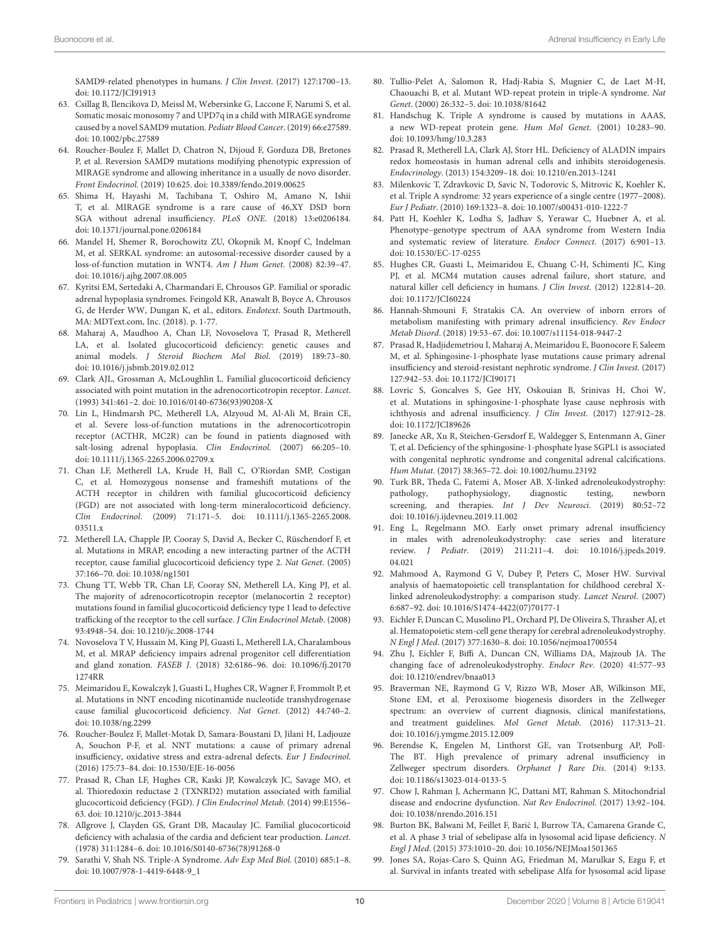SAMD9-related phenotypes in humans. J Clin Invest. (2017) 127:1700–13. doi: [10.1172/JCI91913](https://doi.org/10.1172/JCI91913)

- 63. Csillag B, Ilencikova D, Meissl M, Webersinke G, Laccone F, Narumi S, et al. Somatic mosaic monosomy 7 and UPD7q in a child with MIRAGE syndrome caused by a novel SAMD9 mutation. Pediatr Blood Cancer. (2019) 66:e27589. doi: [10.1002/pbc.27589](https://doi.org/10.1002/pbc.27589)
- <span id="page-9-0"></span>64. Roucher-Boulez F, Mallet D, Chatron N, Dijoud F, Gorduza DB, Bretones P, et al. Reversion SAMD9 mutations modifying phenotypic expression of MIRAGE syndrome and allowing inheritance in a usually de novo disorder. Front Endocrinol. (2019) 10:625. doi: [10.3389/fendo.2019.00625](https://doi.org/10.3389/fendo.2019.00625)
- <span id="page-9-1"></span>65. Shima H, Hayashi M, Tachibana T, Oshiro M, Amano N, Ishii T, et al. MIRAGE syndrome is a rare cause of 46,XY DSD born SGA without adrenal insufficiency. PLoS ONE. (2018) 13:e0206184. doi: [10.1371/journal.pone.0206184](https://doi.org/10.1371/journal.pone.0206184)
- <span id="page-9-2"></span>66. Mandel H, Shemer R, Borochowitz ZU, Okopnik M, Knopf C, Indelman M, et al. SERKAL syndrome: an autosomal-recessive disorder caused by a loss-of-function mutation in WNT4. Am J Hum Genet. (2008) 82:39–47. doi: [10.1016/j.ajhg.2007.08.005](https://doi.org/10.1016/j.ajhg.2007.08.005)
- <span id="page-9-3"></span>67. Kyritsi EM, Sertedaki A, Charmandari E, Chrousos GP. Familial or sporadic adrenal hypoplasia syndromes. Feingold KR, Anawalt B, Boyce A, Chrousos G, de Herder WW, Dungan K, et al., editors. Endotext. South Dartmouth, MA: MDText.com, Inc. (2018). p. 1-77.
- <span id="page-9-4"></span>68. Maharaj A, Maudhoo A, Chan LF, Novoselova T, Prasad R, Metherell LA, et al. Isolated glucocorticoid deficiency: genetic causes and animal models. J Steroid Biochem Mol Biol. (2019) 189:73–80. doi: [10.1016/j.jsbmb.2019.02.012](https://doi.org/10.1016/j.jsbmb.2019.02.012)
- <span id="page-9-5"></span>69. Clark AJL, Grossman A, McLoughlin L. Familial glucocorticoid deficiency associated with point mutation in the adrenocorticotropin receptor. Lancet. (1993) 341:461–2. doi: [10.1016/0140-6736\(93\)90208-X](https://doi.org/10.1016/0140-6736(93)90208-X)
- <span id="page-9-6"></span>70. Lin L, Hindmarsh PC, Metherell LA, Alzyoud M, Al-Ali M, Brain CE, et al. Severe loss-of-function mutations in the adrenocorticotropin receptor (ACTHR, MC2R) can be found in patients diagnosed with salt-losing adrenal hypoplasia. Clin Endocrinol. (2007) 66:205–10. doi: [10.1111/j.1365-2265.2006.02709.x](https://doi.org/10.1111/j.1365-2265.2006.02709.x)
- <span id="page-9-7"></span>71. Chan LF, Metherell LA, Krude H, Ball C, O'Riordan SMP, Costigan C, et al. Homozygous nonsense and frameshift mutations of the ACTH receptor in children with familial glucocorticoid deficiency (FGD) are not associated with long-term mineralocorticoid deficiency. Clin Endocrinol[. \(2009\) 71:171–5. doi: 10.1111/j.1365-2265.2008.](https://doi.org/10.1111/j.1365-2265.2008.03511.x) 03511.x
- <span id="page-9-8"></span>72. Metherell LA, Chapple JP, Cooray S, David A, Becker C, Rüschendorf F, et al. Mutations in MRAP, encoding a new interacting partner of the ACTH receptor, cause familial glucocorticoid deficiency type 2. Nat Genet. (2005) 37:166–70. doi: [10.1038/ng1501](https://doi.org/10.1038/ng1501)
- <span id="page-9-9"></span>73. Chung TT, Webb TR, Chan LF, Cooray SN, Metherell LA, King PJ, et al. The majority of adrenocorticotropin receptor (melanocortin 2 receptor) mutations found in familial glucocorticoid deficiency type 1 lead to defective trafficking of the receptor to the cell surface. J Clin Endocrinol Metab. (2008) 93:4948–54. doi: [10.1210/jc.2008-1744](https://doi.org/10.1210/jc.2008-1744)
- <span id="page-9-10"></span>74. Novoselova T V, Hussain M, King PJ, Guasti L, Metherell LA, Charalambous M, et al. MRAP deficiency impairs adrenal progenitor cell differentiation and gland zonation. FASEB J[. \(2018\) 32:6186–96. doi: 10.1096/fj.20170](https://doi.org/10.1096/fj.201701274RR) 1274RR
- <span id="page-9-11"></span>75. Meimaridou E, Kowalczyk J, Guasti L, Hughes CR, Wagner F, Frommolt P, et al. Mutations in NNT encoding nicotinamide nucleotide transhydrogenase cause familial glucocorticoid deficiency. Nat Genet. (2012) 44:740–2. doi: [10.1038/ng.2299](https://doi.org/10.1038/ng.2299)
- <span id="page-9-12"></span>76. Roucher-Boulez F, Mallet-Motak D, Samara-Boustani D, Jilani H, Ladjouze A, Souchon P-F, et al. NNT mutations: a cause of primary adrenal insufficiency, oxidative stress and extra-adrenal defects. Eur J Endocrinol. (2016) 175:73–84. doi: [10.1530/EJE-16-0056](https://doi.org/10.1530/EJE-16-0056)
- <span id="page-9-13"></span>77. Prasad R, Chan LF, Hughes CR, Kaski JP, Kowalczyk JC, Savage MO, et al. Thioredoxin reductase 2 (TXNRD2) mutation associated with familial glucocorticoid deficiency (FGD). J Clin Endocrinol Metab. (2014) 99:E1556– 63. doi: [10.1210/jc.2013-3844](https://doi.org/10.1210/jc.2013-3844)
- <span id="page-9-14"></span>78. Allgrove J, Clayden GS, Grant DB, Macaulay JC. Familial glucocorticoid deficiency with achalasia of the cardia and deficient tear production. Lancet. (1978) 311:1284–6. doi: [10.1016/S0140-6736\(78\)91268-0](https://doi.org/10.1016/S0140-6736(78)91268-0)
- <span id="page-9-15"></span>79. Sarathi V, Shah NS. Triple-A Syndrome. Adv Exp Med Biol. (2010) 685:1–8. doi: [10.1007/978-1-4419-6448-9\\_1](https://doi.org/10.1007/978-1-4419-6448-9_1)
- <span id="page-9-16"></span>80. Tullio-Pelet A, Salomon R, Hadj-Rabia S, Mugnier C, de Laet M-H, Chaouachi B, et al. Mutant WD-repeat protein in triple-A syndrome. Nat Genet. (2000) 26:332–5. doi: [10.1038/81642](https://doi.org/10.1038/81642)
- 81. Handschug K. Triple A syndrome is caused by mutations in AAAS, a new WD-repeat protein gene. Hum Mol Genet. (2001) 10:283–90. doi: [10.1093/hmg/10.3.283](https://doi.org/10.1093/hmg/10.3.283)
- <span id="page-9-17"></span>82. Prasad R, Metherell LA, Clark AJ, Storr HL. Deficiency of ALADIN impairs redox homeostasis in human adrenal cells and inhibits steroidogenesis. Endocrinology. (2013) 154:3209–18. doi: [10.1210/en.2013-1241](https://doi.org/10.1210/en.2013-1241)
- <span id="page-9-18"></span>83. Milenkovic T, Zdravkovic D, Savic N, Todorovic S, Mitrovic K, Koehler K, et al. Triple A syndrome: 32 years experience of a single centre (1977–2008). Eur J Pediatr. (2010) 169:1323–8. doi: [10.1007/s00431-010-1222-7](https://doi.org/10.1007/s00431-010-1222-7)
- <span id="page-9-19"></span>84. Patt H, Koehler K, Lodha S, Jadhav S, Yerawar C, Huebner A, et al. Phenotype–genotype spectrum of AAA syndrome from Western India and systematic review of literature. Endocr Connect. (2017) 6:901–13. doi: [10.1530/EC-17-0255](https://doi.org/10.1530/EC-17-0255)
- <span id="page-9-20"></span>85. Hughes CR, Guasti L, Meimaridou E, Chuang C-H, Schimenti JC, King PJ, et al. MCM4 mutation causes adrenal failure, short stature, and natural killer cell deficiency in humans. J Clin Invest. (2012) 122:814–20. doi: [10.1172/JCI60224](https://doi.org/10.1172/JCI60224)
- <span id="page-9-21"></span>86. Hannah-Shmouni F, Stratakis CA. An overview of inborn errors of metabolism manifesting with primary adrenal insufficiency. Rev Endocr Metab Disord. (2018) 19:53–67. doi: [10.1007/s11154-018-9447-2](https://doi.org/10.1007/s11154-018-9447-2)
- <span id="page-9-22"></span>87. Prasad R, Hadjidemetriou I, Maharaj A, Meimaridou E, Buonocore F, Saleem M, et al. Sphingosine-1-phosphate lyase mutations cause primary adrenal insufficiency and steroid-resistant nephrotic syndrome. J Clin Invest. (2017) 127:942–53. doi: [10.1172/JCI90171](https://doi.org/10.1172/JCI90171)
- 88. Lovric S, Goncalves S, Gee HY, Oskouian B, Srinivas H, Choi W, et al. Mutations in sphingosine-1-phosphate lyase cause nephrosis with ichthyosis and adrenal insufficiency. J Clin Invest. (2017) 127:912–28. doi: [10.1172/JCI89626](https://doi.org/10.1172/JCI89626)
- <span id="page-9-23"></span>89. Janecke AR, Xu R, Steichen-Gersdorf E, Waldegger S, Entenmann A, Giner T, et al. Deficiency of the sphingosine-1-phosphate lyase SGPL1 is associated with congenital nephrotic syndrome and congenital adrenal calcifications. Hum Mutat. (2017) 38:365–72. doi: [10.1002/humu.23192](https://doi.org/10.1002/humu.23192)
- <span id="page-9-24"></span>90. Turk BR, Theda C, Fatemi A, Moser AB. X-linked adrenoleukodystrophy: pathology, pathophysiology, diagnostic testing, newborn screening, and therapies. Int J Dev Neurosci. (2019) 80:52-72 doi: [10.1016/j.ijdevneu.2019.11.002](https://doi.org/10.1016/j.ijdevneu.2019.11.002)
- <span id="page-9-25"></span>91. Eng L, Regelmann MO. Early onset primary adrenal insufficiency in males with adrenoleukodystrophy: case series and literature review. J Pediatr[. \(2019\) 211:211–4. doi: 10.1016/j.jpeds.2019.](https://doi.org/10.1016/j.jpeds.2019.04.021) 04.021
- 92. Mahmood A, Raymond G V, Dubey P, Peters C, Moser HW. Survival analysis of haematopoietic cell transplantation for childhood cerebral Xlinked adrenoleukodystrophy: a comparison study. Lancet Neurol. (2007) 6:687–92. doi: [10.1016/S1474-4422\(07\)70177-1](https://doi.org/10.1016/S1474-4422(07)70177-1)
- 93. Eichler F, Duncan C, Musolino PL, Orchard PJ, De Oliveira S, Thrasher AJ, et al. Hematopoietic stem-cell gene therapy for cerebral adrenoleukodystrophy. N Engl J Med. (2017) 377:1630–8. doi: [10.1056/nejmoa1700554](https://doi.org/10.1056/nejmoa1700554)
- <span id="page-9-26"></span>94. Zhu J, Eichler F, Biffi A, Duncan CN, Williams DA, Majzoub JA. The changing face of adrenoleukodystrophy. Endocr Rev. (2020) 41:577–93 doi: [10.1210/endrev/bnaa013](https://doi.org/10.1210/endrev/bnaa013)
- <span id="page-9-27"></span>95. Braverman NE, Raymond G V, Rizzo WB, Moser AB, Wilkinson ME, Stone EM, et al. Peroxisome biogenesis disorders in the Zellweger spectrum: an overview of current diagnosis, clinical manifestations, and treatment guidelines. Mol Genet Metab. (2016) 117:313–21. doi: [10.1016/j.ymgme.2015.12.009](https://doi.org/10.1016/j.ymgme.2015.12.009)
- <span id="page-9-28"></span>96. Berendse K, Engelen M, Linthorst GE, van Trotsenburg AP, Poll-The BT. High prevalence of primary adrenal insufficiency in Zellweger spectrum disorders. Orphanet J Rare Dis. (2014) 9:133. doi: [10.1186/s13023-014-0133-5](https://doi.org/10.1186/s13023-014-0133-5)
- <span id="page-9-29"></span>97. Chow J, Rahman J, Achermann JC, Dattani MT, Rahman S. Mitochondrial disease and endocrine dysfunction. Nat Rev Endocrinol. (2017) 13:92–104. doi: [10.1038/nrendo.2016.151](https://doi.org/10.1038/nrendo.2016.151)
- <span id="page-9-30"></span>98. Burton BK, Balwani M, Feillet F, Baric I, Burrow TA, Camarena Grande C, ´ et al. A phase 3 trial of sebelipase alfa in lysosomal acid lipase deficiency. N Engl J Med. (2015) 373:1010–20. doi: [10.1056/NEJMoa1501365](https://doi.org/10.1056/NEJMoa1501365)
- Jones SA, Rojas-Caro S, Quinn AG, Friedman M, Marulkar S, Ezgu F, et al. Survival in infants treated with sebelipase Alfa for lysosomal acid lipase